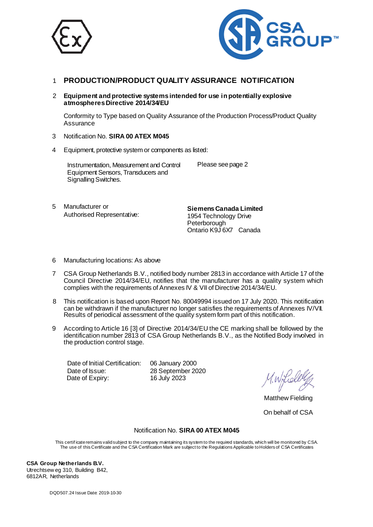



## 1 **PRODUCTION/PRODUCT QUALITY ASSURANCE NOTIFICATION**

2 **Equipment and protective systems intended for use in potentially explosive atmospheres Directive 2014/34/EU**

Conformity to Type based on Quality Assurance of the Production Process/Product Quality **Assurance** 

- 3 Notification No. **SIRA 00 ATEX M045**
- 4 Equipment, protective system or components as listed:

Instrumentation, Measurement and Control Equipment Sensors, Transducers and Signalling Switches.

Please see page 2

5 Manufacturer or Authorised Representative:

**Siemens Canada Limited**  1954 Technology Drive **Peterborough** Ontario K9J 6X7 Canada

- 6 Manufacturing locations: As above
- 7 CSA Group Netherlands B.V., notified body number 2813 in accordance with Article 17 of the Council Directive 2014/34/EU, notifies that the manufacturer has a quality system which complies with the requirements of Annexes IV & VII of Directive 2014/34/EU.
- 8 This notification is based upon Report No. 80049994 issued on 17 July 2020. This notification can be withdrawn if the manufacturer no longer satisfies the requirements of Annexes IV/VII. Results of periodical assessment of the quality system form part of this notification.
- 9 According to Article 16 [3] of Directive 2014/34/EU the CE marking shall be followed by the identification number 2813 of CSA Group Netherlands B.V., as the Notified Body involved in the production control stage.

 Date of Initial Certification: 06 January 2000 Date of Issue: 28 September 2020<br>Date of Expiry: 16 July 2023 Date of Expiry:

Matthew Fielding

On behalf of CSA

## Notification No. **SIRA 00 ATEX M045**

This certif icate remains validsubject to the company maintaining its system to the required standards, which will be monitored by CSA. The use of this Certificate and the CSA Certification Mark are subject to the Regulations Applicable to Holders of CSA Certificates

**CSA Group Netherlands B.V.**  Utrechtsew eg 310, Building B42, 6812AR, Netherlands

DQD507.24 Issue Date: 2019-10-30